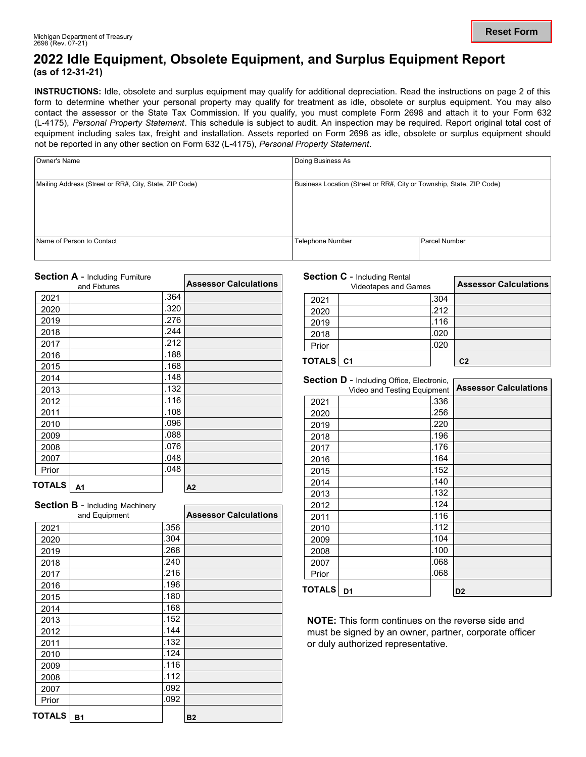### **2022 Idle Equipment, Obsolete Equipment, and Surplus Equipment Report (as of 12-31-21)**

**INSTRUCTIONS:** Idle, obsolete and surplus equipment may qualify for additional depreciation. Read the instructions on page 2 of this form to determine whether your personal property may qualify for treatment as idle, obsolete or surplus equipment. You may also contact the assessor or the State Tax Commission. If you qualify, you must complete Form 2698 and attach it to your Form 632 (L-4175), *Personal Property Statement*. This schedule is subject to audit. An inspection may be required. Report original total cost of equipment including sales tax, freight and installation. Assets reported on Form 2698 as idle, obsolete or surplus equipment should not be reported in any other section on Form 632 (L-4175), *Personal Property Statement*.

| Owner's Name                                           | Doing Business As                                                    |               |  |
|--------------------------------------------------------|----------------------------------------------------------------------|---------------|--|
| Mailing Address (Street or RR#, City, State, ZIP Code) | Business Location (Street or RR#, City or Township, State, ZIP Code) |               |  |
| Name of Person to Contact                              | <b>Telephone Number</b>                                              | Parcel Number |  |

|        | <b>Section A - Including Furniture</b> |      |                              |
|--------|----------------------------------------|------|------------------------------|
|        | and Fixtures                           |      | <b>Assessor Calculations</b> |
| 2021   |                                        | .364 |                              |
| 2020   |                                        | .320 |                              |
| 2019   |                                        | .276 |                              |
| 2018   |                                        | .244 |                              |
| 2017   |                                        | .212 |                              |
| 2016   |                                        | .188 |                              |
| 2015   |                                        | .168 |                              |
| 2014   |                                        | .148 |                              |
| 2013   |                                        | .132 |                              |
| 2012   |                                        | .116 |                              |
| 2011   |                                        | .108 |                              |
| 2010   |                                        | .096 |                              |
| 2009   |                                        | .088 |                              |
| 2008   |                                        | .076 |                              |
| 2007   |                                        | .048 |                              |
| Prior  |                                        | .048 |                              |
| TOTALS | A1                                     |      | A2                           |

|               | <b>Section B - Including Machinery</b> |      |                              |
|---------------|----------------------------------------|------|------------------------------|
|               | and Equipment                          |      | <b>Assessor Calculations</b> |
| 2021          |                                        | .356 |                              |
| 2020          |                                        | .304 |                              |
| 2019          |                                        | .268 |                              |
| 2018          |                                        | .240 |                              |
| 2017          |                                        | .216 |                              |
| 2016          |                                        | .196 |                              |
| 2015          |                                        | .180 |                              |
| 2014          |                                        | .168 |                              |
| 2013          |                                        | .152 |                              |
| 2012          |                                        | .144 |                              |
| 2011          |                                        | .132 |                              |
| 2010          |                                        | .124 |                              |
| 2009          |                                        | .116 |                              |
| 2008          |                                        | .112 |                              |
| 2007          |                                        | .092 |                              |
| Prior         |                                        | .092 |                              |
| <b>TOTALS</b> | <b>B1</b>                              |      | <b>B2</b>                    |

#### **Section C** - Including Rental

|           | <b>Videotapes and Games</b> |      | <b>Assessor Calculations</b> |
|-----------|-----------------------------|------|------------------------------|
| 2021      |                             | .304 |                              |
| 2020      |                             | .212 |                              |
| 2019      |                             | .116 |                              |
| 2018      |                             | .020 |                              |
| Prior     |                             | .020 |                              |
| TOTALS C1 |                             |      | C <sub>2</sub>               |

|               | <b>Section D - Including Office, Electronic,</b> |      |                              |
|---------------|--------------------------------------------------|------|------------------------------|
|               | Video and Testing Equipment                      |      | <b>Assessor Calculations</b> |
| 2021          |                                                  | .336 |                              |
| 2020          |                                                  | .256 |                              |
| 2019          |                                                  | .220 |                              |
| 2018          |                                                  | .196 |                              |
| 2017          |                                                  | .176 |                              |
| 2016          |                                                  | .164 |                              |
| 2015          |                                                  | .152 |                              |
| 2014          |                                                  | .140 |                              |
| 2013          |                                                  | .132 |                              |
| 2012          |                                                  | .124 |                              |
| 2011          |                                                  | .116 |                              |
| 2010          |                                                  | .112 |                              |
| 2009          |                                                  | .104 |                              |
| 2008          |                                                  | .100 |                              |
| 2007          |                                                  | .068 |                              |
| Prior         |                                                  | .068 |                              |
| <b>TOTALS</b> | D <sub>1</sub>                                   |      | D2                           |

**NOTE:** This form continues on the reverse side and must be signed by an owner, partner, corporate officer or duly authorized representative.